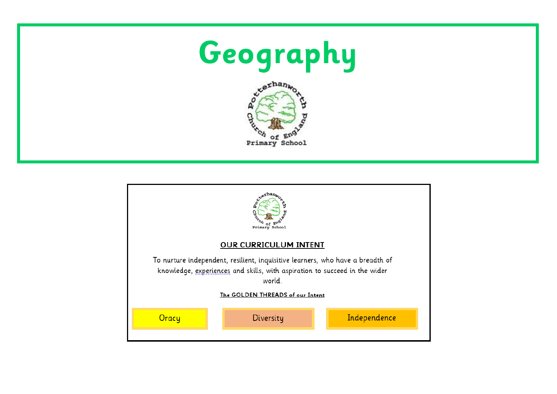



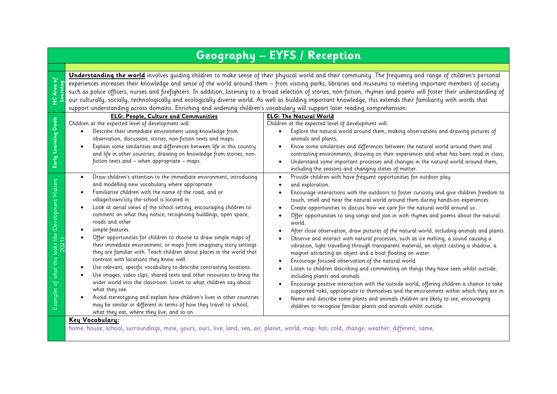## **Geography – EYFS / Reception**

**Learning Understanding the world** involves quiding children to make sense of their physical world and their community. The frequency and range of children's personal experiences increases their knowledge and sense of the world around them – from visiting parks, libraries and museums to meeting important members of society such as police officers, nurses and firefighters. In addition, listening to a broad selection of stories, non-fiction, rhymes and poems will foster their understanding of our culturally, socially, technologically and ecologically diverse world. As well as building important knowledge, this extends their familiarity with words that support understanding across domains. Enriching and widening children's vocabulary will support later reading comprehension.

**NC Area of** 

|                                | <b>ELG: People, Culture and Communities</b>                                                                                                  | <b>ELG: The Natural World</b>                                                                           |  |  |  |
|--------------------------------|----------------------------------------------------------------------------------------------------------------------------------------------|---------------------------------------------------------------------------------------------------------|--|--|--|
| Goals                          | Children at the expected level of development will:                                                                                          | Children at the expected level of development will:                                                     |  |  |  |
| g                              | Describe their immediate environment using knowledge from                                                                                    | Explore the natural world around them, making observations and drawing pictures of                      |  |  |  |
|                                | observation, discussion, stories, non-fiction texts and maps;                                                                                | animals and plants;                                                                                     |  |  |  |
| Learni                         | Explain some similarities and differences between life in this country                                                                       | Know some similarities and differences between the natural world around them and<br>$\bullet$           |  |  |  |
|                                | and life in other countries, drawing on knowledge from stories, non-                                                                         | contrasting environments, drawing on their experiences and what has been read in class;                 |  |  |  |
|                                | fiction texts and - when appropriate - maps.                                                                                                 | Understand some important processes and changes in the natural world around them,<br>$\bullet$          |  |  |  |
|                                |                                                                                                                                              | including the seasons and changing states of matter.                                                    |  |  |  |
|                                | Draw children's attention to the immediate environment, introducing<br>$\bullet$                                                             | Provide children with have frequent opportunities for outdoor play<br>$\bullet$                         |  |  |  |
|                                | and modelling new vocabulary where appropriate.                                                                                              | and exploration.                                                                                        |  |  |  |
| Matters<br><b>(Development</b> | Familiarise children with the name of the road, and or                                                                                       | Encourage interactions with the outdoors to foster curiosity and give children freedom to               |  |  |  |
|                                | village/town/city the school is located in.                                                                                                  | touch, smell and hear the natural world around them during hands-on experiences.                        |  |  |  |
|                                | Look at aerial views of the school setting, encouraging children to                                                                          | Create opportunities to discuss how we care for the natural world around us.                            |  |  |  |
|                                | comment on what they notice, recognising buildings, open space,                                                                              | Offer opportunities to sing songs and join in with rhymes and poems about the natural                   |  |  |  |
|                                | roads and other                                                                                                                              | world.                                                                                                  |  |  |  |
|                                | simple features.                                                                                                                             | After close observation, draw pictures of the natural world, including animals and plants.<br>$\bullet$ |  |  |  |
|                                | Offer opportunities for children to choose to draw simple maps of                                                                            | Observe and interact with natural processes, such as ice melting, a sound causing a                     |  |  |  |
| looks                          | their immediate environment, or maps from imaginary story settings                                                                           | vibration, light travelling through transparent material, an object casting a shadow, a                 |  |  |  |
|                                | they are familiar with. Teach children about places in the world that                                                                        | magnet attracting an object and a boat floating on water.                                               |  |  |  |
| this                           | contrast with locations they know well.                                                                                                      | Encourage focused observation of the natural world.                                                     |  |  |  |
| what                           | Use relevant, specific vocabulary to describe contrasting locations.                                                                         | Listen to children describing and commenting on things they have seen whilst outside,                   |  |  |  |
|                                | Use images, video clips, shared texts and other resources to bring the<br>wider world into the classroom. Listen to what children say about  | including plants and animals.                                                                           |  |  |  |
| 'ত                             | what they see.                                                                                                                               | Encourage positive interaction with the outside world, offering children a chance to take<br>$\bullet$  |  |  |  |
| Examples                       | Avoid stereotyping and explain how children's lives in other countries                                                                       | supported risks, appropriate to themselves and the environment within which they are in.                |  |  |  |
|                                | may be similar or different in terms of how they travel to school,                                                                           | Name and describe some plants and animals children are likely to see, encouraging                       |  |  |  |
|                                | what they eat, where they live, and so on.                                                                                                   | children to recognise familiar plants and animals whilst outside.                                       |  |  |  |
|                                | Key Vocabulary:                                                                                                                              |                                                                                                         |  |  |  |
|                                | home, house, school, surroundings, mine, yours, ours, live, land, sea, air, planet, world, map, hot, cold, change, weather, different, same, |                                                                                                         |  |  |  |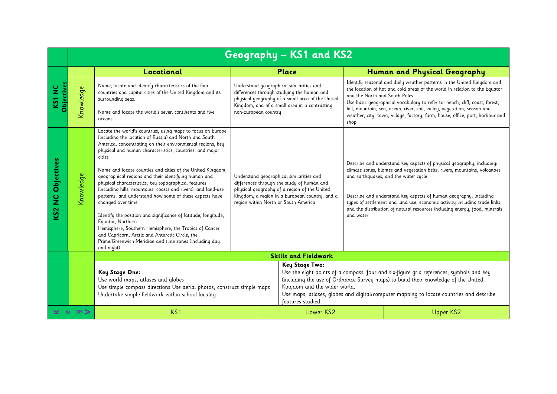|                                      |                                | Geography - KS1 and KS2                                                                                                                                                                                                                                                                                                                                                                                                                                                                                                                                                                                                                                                                                                                                                                                                                                              |                                                                                                                                                                                                                                  |  |                                                                                                                                                 |                                                                                                                                                                                                                                                                                                                                                                                                                            |                                                                                                                                                                                                                                                                                                                                                                                                 |
|--------------------------------------|--------------------------------|----------------------------------------------------------------------------------------------------------------------------------------------------------------------------------------------------------------------------------------------------------------------------------------------------------------------------------------------------------------------------------------------------------------------------------------------------------------------------------------------------------------------------------------------------------------------------------------------------------------------------------------------------------------------------------------------------------------------------------------------------------------------------------------------------------------------------------------------------------------------|----------------------------------------------------------------------------------------------------------------------------------------------------------------------------------------------------------------------------------|--|-------------------------------------------------------------------------------------------------------------------------------------------------|----------------------------------------------------------------------------------------------------------------------------------------------------------------------------------------------------------------------------------------------------------------------------------------------------------------------------------------------------------------------------------------------------------------------------|-------------------------------------------------------------------------------------------------------------------------------------------------------------------------------------------------------------------------------------------------------------------------------------------------------------------------------------------------------------------------------------------------|
|                                      |                                | Locational                                                                                                                                                                                                                                                                                                                                                                                                                                                                                                                                                                                                                                                                                                                                                                                                                                                           |                                                                                                                                                                                                                                  |  | Place                                                                                                                                           |                                                                                                                                                                                                                                                                                                                                                                                                                            | Human and Physical Geography                                                                                                                                                                                                                                                                                                                                                                    |
| <b>Objectives</b><br>KS <sub>1</sub> | $\mathbf{\omega}$<br>Knowledge | Name, locate and identify characteristics of the four<br>countries and capital cities of the United Kingdom and its<br>surrounding seas.<br>Name and locate the world's seven continents and five<br>oceans                                                                                                                                                                                                                                                                                                                                                                                                                                                                                                                                                                                                                                                          | Understand geographical similarities and<br>non-European country                                                                                                                                                                 |  | differences through studying the human and<br>physical geography of a small area of the United<br>Kingdom, and of a small area in a contrasting | and the North and South Poles<br>shop                                                                                                                                                                                                                                                                                                                                                                                      | Identify seasonal and daily weather patterns in the United Kingdom and<br>the location of hot and cold areas of the world in relation to the Equator<br>Use basic geographical vocabulary to refer to: beach, cliff, coast, forest,<br>hill, mountain, sea, ocean, river, soil, valley, vegetation, season and<br>weather, city, town, village, factory, farm, house, office, port, harbour and |
| NC Objectives<br>KS <sub>2</sub>     | Knowledge                      | Locate the world's countries, using maps to focus on Europe<br>(including the location of Russia) and North and South<br>America, concentrating on their environmental regions, key<br>physical and human characteristics, countries, and major<br>cities<br>Name and locate counties and cities of the United Kingdom,<br>geographical regions and their identifying human and<br>physical characteristics, key topographical features<br>(including hills, mountains, coasts and rivers), and land-use<br>patterns; and understand how some of these aspects have<br>changed over time<br>Identify the position and significance of latitude, longitude,<br>Equator, Northern<br>Hemisphere, Southern Hemisphere, the Tropics of Cancer<br>and Capricorn, Arctic and Antarctic Circle, the<br>Prime/Greenwich Meridian and time zones (including day<br>and night) | Understand geographical similarities and<br>differences through the study of human and<br>physical geography of a region of the United<br>Kingdom, a region in a European country, and a<br>region within North or South America |  | and water                                                                                                                                       | Describe and understand key aspects of physical geography, including:<br>climate zones, biomes and vegetation belts, rivers, mountains, volcanoes<br>and earthquakes, and the water cycle<br>Describe and understand key aspects of human geography, including<br>types of settlement and land use, economic activity including trade links,<br>and the distribution of natural resources including energy, food, minerals |                                                                                                                                                                                                                                                                                                                                                                                                 |
|                                      |                                |                                                                                                                                                                                                                                                                                                                                                                                                                                                                                                                                                                                                                                                                                                                                                                                                                                                                      |                                                                                                                                                                                                                                  |  | <b>Skills and Fieldwork</b>                                                                                                                     |                                                                                                                                                                                                                                                                                                                                                                                                                            |                                                                                                                                                                                                                                                                                                                                                                                                 |
|                                      |                                | Key Stage One:<br>Use world maps, atlases and globes<br>Use simple compass directions Use aerial photos, construct simple maps<br>Undertake simple fieldwork within school locality                                                                                                                                                                                                                                                                                                                                                                                                                                                                                                                                                                                                                                                                                  |                                                                                                                                                                                                                                  |  | <b>Key Stage Two:</b><br>Kingdom and the wider world.<br>features studied.                                                                      | Use the eight points of a compass, four and six-figure grid references, symbols and key<br>(including the use of Ordnance Survey maps) to build their knowledge of the United<br>Use maps, atlases, globes and digital/computer mapping to locate countries and describe                                                                                                                                                   |                                                                                                                                                                                                                                                                                                                                                                                                 |
| $\pi$                                |                                | KS1                                                                                                                                                                                                                                                                                                                                                                                                                                                                                                                                                                                                                                                                                                                                                                                                                                                                  |                                                                                                                                                                                                                                  |  | Lower KS2                                                                                                                                       |                                                                                                                                                                                                                                                                                                                                                                                                                            | <b>Upper KS2</b>                                                                                                                                                                                                                                                                                                                                                                                |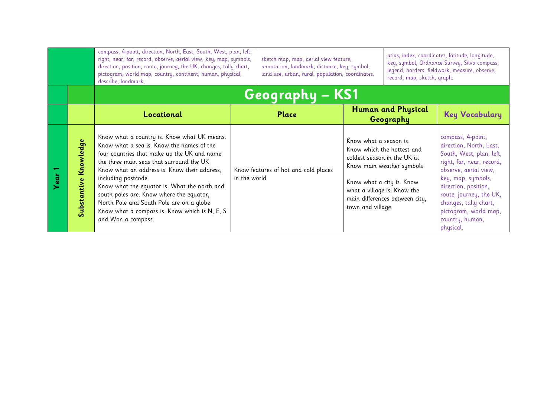|     |                          | compass, 4-point, direction, North, East, South, West, plan, left,<br>right, near, far, record, observe, aerial view, key, map, symbols,<br>direction, position, route, journey, the UK, changes, tally chart,<br>pictogram, world map, country, continent, human, physical,<br>describe, landmark,                                                                                                                                                                       |              | sketch map, map, aerial view feature,<br>annotation, landmark, distance, key, symbol,<br>land use, urban, rural, population, coordinates. |                                                                                                                                         | atlas, index, coordinates, latitude, longitude,<br>key, symbol, Ordnance Survey, Silva compass,<br>legend, borders, fieldwork, measure, observe,<br>record, map, sketch, graph. |                                                                                                                                                                                                                                                                                           |
|-----|--------------------------|---------------------------------------------------------------------------------------------------------------------------------------------------------------------------------------------------------------------------------------------------------------------------------------------------------------------------------------------------------------------------------------------------------------------------------------------------------------------------|--------------|-------------------------------------------------------------------------------------------------------------------------------------------|-----------------------------------------------------------------------------------------------------------------------------------------|---------------------------------------------------------------------------------------------------------------------------------------------------------------------------------|-------------------------------------------------------------------------------------------------------------------------------------------------------------------------------------------------------------------------------------------------------------------------------------------|
|     |                          | Geography - KS1                                                                                                                                                                                                                                                                                                                                                                                                                                                           |              |                                                                                                                                           |                                                                                                                                         |                                                                                                                                                                                 |                                                                                                                                                                                                                                                                                           |
|     |                          | Locational                                                                                                                                                                                                                                                                                                                                                                                                                                                                |              | <b>Place</b>                                                                                                                              |                                                                                                                                         | Human and Physical<br>Geography                                                                                                                                                 | <b>Key Vocabulary</b>                                                                                                                                                                                                                                                                     |
| ear | Knowledge<br>Substantive | Know what a country is. Know what UK means.<br>Know what a sea is. Know the names of the<br>four countries that make up the UK and name<br>the three main seas that surround the UK<br>Know what an address is. Know their address,<br>including postcode.<br>Know what the equator is. What the north and<br>south poles are. Know where the equator,<br>North Pole and South Pole are on a globe<br>Know what a compass is. Know which is N, E, S<br>and Won a compass. | in the world | Know features of hot and cold places                                                                                                      | Know what a season is.<br>coldest season in the UK is.<br>Know what a city is. Know<br>what a village is. Know the<br>town and village. | Know which the hottest and<br>Know main weather symbols<br>main differences between city,                                                                                       | compass, 4-point,<br>direction, North, East,<br>South, West, plan, left,<br>right, far, near, record,<br>observe, aerial view,<br>key, map, symbols,<br>direction, position,<br>route, journey, the UK,<br>changes, tally chart,<br>pictogram, world map,<br>country, human,<br>physical. |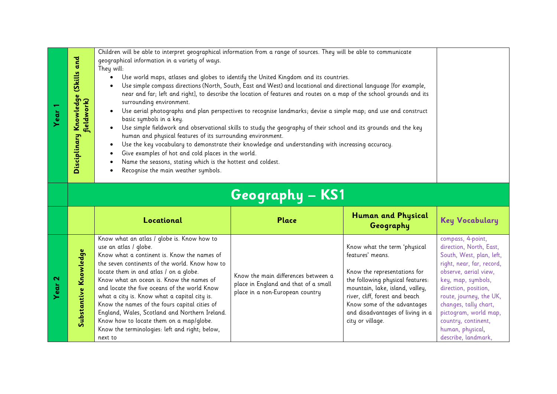|                   |                                                                                                                                                 | Children will be able to interpret geographical information from a range of sources. They will be able to communicate |                                                                                                                       |                                                               |                                                  |  |
|-------------------|-------------------------------------------------------------------------------------------------------------------------------------------------|-----------------------------------------------------------------------------------------------------------------------|-----------------------------------------------------------------------------------------------------------------------|---------------------------------------------------------------|--------------------------------------------------|--|
|                   | Disciplinary Knowledge (Skills and                                                                                                              | geographical information in a variety of ways.<br>They will:                                                          |                                                                                                                       |                                                               |                                                  |  |
|                   |                                                                                                                                                 |                                                                                                                       |                                                                                                                       |                                                               |                                                  |  |
|                   |                                                                                                                                                 |                                                                                                                       |                                                                                                                       |                                                               |                                                  |  |
|                   |                                                                                                                                                 | Use simple compass directions (North, South, East and West) and locational and directional language [for example,     |                                                                                                                       |                                                               |                                                  |  |
|                   |                                                                                                                                                 | surrounding environment.                                                                                              | near and far; left and right], to describe the location of features and routes on a map of the school grounds and its |                                                               |                                                  |  |
|                   |                                                                                                                                                 |                                                                                                                       |                                                                                                                       |                                                               |                                                  |  |
| Year              | fieldwork)                                                                                                                                      | $\bullet$                                                                                                             | Use aerial photographs and plan perspectives to recognise landmarks; devise a simple map; and use and construct       |                                                               |                                                  |  |
|                   |                                                                                                                                                 | basic symbols in a key.                                                                                               |                                                                                                                       |                                                               |                                                  |  |
|                   |                                                                                                                                                 | $\bullet$                                                                                                             | Use simple fieldwork and observational skills to study the geography of their school and its grounds and the key      |                                                               |                                                  |  |
|                   |                                                                                                                                                 | human and physical features of its surrounding environment.                                                           |                                                                                                                       |                                                               |                                                  |  |
|                   |                                                                                                                                                 | $\bullet$<br>Give examples of hot and cold places in the world.                                                       | Use the key vocabulary to demonstrate their knowledge and understanding with increasing accuracy.                     |                                                               |                                                  |  |
|                   |                                                                                                                                                 | ٠<br>Name the seasons, stating which is the hottest and coldest.<br>$\bullet$                                         |                                                                                                                       |                                                               |                                                  |  |
|                   |                                                                                                                                                 | Recognise the main weather symbols.<br>٠                                                                              |                                                                                                                       |                                                               |                                                  |  |
|                   |                                                                                                                                                 |                                                                                                                       |                                                                                                                       |                                                               |                                                  |  |
|                   |                                                                                                                                                 |                                                                                                                       |                                                                                                                       |                                                               |                                                  |  |
|                   |                                                                                                                                                 |                                                                                                                       | Geography – KS1                                                                                                       |                                                               |                                                  |  |
|                   |                                                                                                                                                 | Locational                                                                                                            | Place                                                                                                                 | <b>Human and Physical</b><br>Geography                        | <b>Key Vocabulary</b>                            |  |
|                   |                                                                                                                                                 | Know what an atlas / globe is. Know how to                                                                            |                                                                                                                       |                                                               | compass, 4-point,                                |  |
|                   | use an atlas / globe.<br>Substantive Knowledge<br>Know what a continent is. Know the names of<br>the seven continents of the world. Know how to |                                                                                                                       |                                                                                                                       | Know what the term 'physical                                  | direction, North, East,                          |  |
|                   |                                                                                                                                                 |                                                                                                                       |                                                                                                                       | features' means.                                              | South, West, plan, left,                         |  |
|                   |                                                                                                                                                 |                                                                                                                       |                                                                                                                       |                                                               | right, near, far, record,                        |  |
|                   |                                                                                                                                                 | locate them in and atlas / on a globe.                                                                                | Know the main differences between a                                                                                   | Know the representations for                                  | observe, aerial view,                            |  |
| Year <sub>2</sub> |                                                                                                                                                 | Know what an ocean is. Know the names of                                                                              | place in England and that of a small                                                                                  | the following physical features:                              | key, map, symbols,                               |  |
|                   |                                                                                                                                                 | and locate the five oceans of the world Know                                                                          | place in a non-European country                                                                                       | mountain, lake, island, valley,                               | direction, position,                             |  |
|                   |                                                                                                                                                 | what a city is. Know what a capital city is.<br>Know the names of the fours capital cities of                         |                                                                                                                       | river, cliff, forest and beach<br>Know some of the advantages | route, journey, the UK,<br>changes, tally chart, |  |
|                   |                                                                                                                                                 | England, Wales, Scotland and Northern Ireland.                                                                        |                                                                                                                       | and disadvantages of living in a                              | pictogram, world map,                            |  |
|                   |                                                                                                                                                 | Know how to locate them on a map/globe.                                                                               |                                                                                                                       | city or village.                                              | country, continent,                              |  |
|                   |                                                                                                                                                 | Know the terminologies: left and right; below,                                                                        |                                                                                                                       |                                                               | human, physical,                                 |  |
|                   | next to                                                                                                                                         |                                                                                                                       |                                                                                                                       | describe, landmark,                                           |                                                  |  |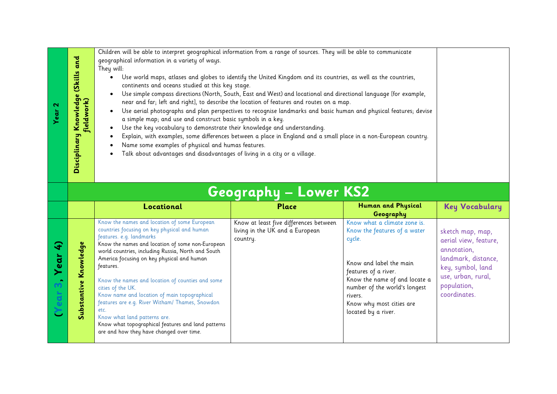| and<br>(Skills<br>$\bullet$<br>$\overline{g}$<br>fieldwork)<br>Kno | Children will be able to interpret geographical information from a range of sources. They will be able to communicate<br>geographical information in a variety of ways.<br>They will:<br>Use world maps, atlases and globes to identify the United Kingdom and its countries, as well as the countries,<br>continents and oceans studied at this key stage.<br>Use simple compass directions (North, South, East and West) and locational and directional language [for example,<br>$\bullet$<br>near and far; left and right], to describe the location of features and routes on a map.<br>Use aerial photographs and plan perspectives to recognise landmarks and basic human and physical features; devise<br>$\bullet$<br>a simple map; and use and construct basic symbols in a key.<br>Use the key vocabulary to demonstrate their knowledge and understanding.<br>$\bullet$<br>Explain, with examples, some differences between a place in England and a small place in a non-European country.<br>Name some examples of physical and humas features.<br>٠<br>Talk about advantages and disadvantages of living in a city or a village. |  |
|--------------------------------------------------------------------|-------------------------------------------------------------------------------------------------------------------------------------------------------------------------------------------------------------------------------------------------------------------------------------------------------------------------------------------------------------------------------------------------------------------------------------------------------------------------------------------------------------------------------------------------------------------------------------------------------------------------------------------------------------------------------------------------------------------------------------------------------------------------------------------------------------------------------------------------------------------------------------------------------------------------------------------------------------------------------------------------------------------------------------------------------------------------------------------------------------------------------------------------|--|
| Disciplinary                                                       |                                                                                                                                                                                                                                                                                                                                                                                                                                                                                                                                                                                                                                                                                                                                                                                                                                                                                                                                                                                                                                                                                                                                                 |  |
|                                                                    |                                                                                                                                                                                                                                                                                                                                                                                                                                                                                                                                                                                                                                                                                                                                                                                                                                                                                                                                                                                                                                                                                                                                                 |  |

| Geography – Low <u>er KS2</u> |  |  |
|-------------------------------|--|--|
|                               |  |  |

|             |                                                | Locational                                                                                                                                                                                                                                                                                                                                                                                                                                                                                                                                                                                                          | Place                                                                                 | Human and Physical<br>Geography                                                                                                                                                                                                                           | <b>Key Vocabulary</b>                                                                                                                                     |
|-------------|------------------------------------------------|---------------------------------------------------------------------------------------------------------------------------------------------------------------------------------------------------------------------------------------------------------------------------------------------------------------------------------------------------------------------------------------------------------------------------------------------------------------------------------------------------------------------------------------------------------------------------------------------------------------------|---------------------------------------------------------------------------------------|-----------------------------------------------------------------------------------------------------------------------------------------------------------------------------------------------------------------------------------------------------------|-----------------------------------------------------------------------------------------------------------------------------------------------------------|
| ear<br>Year | dge<br>⊻<br>$\boldsymbol{\omega}$<br><b>in</b> | Know the names and location of some European<br>countries focusing on key physical and human<br>features. e.g. landmarks<br>Know the names and location of some non-European<br>world countries, including Russia, North and South<br>America focusing on key physical and human<br>features.<br>Know the names and location of counties and some<br>cities of the UK.<br>Know name and location of main topographical<br>features are e.g. River Witham/ Thames, Snowdon<br>etc.<br>Know what land patterns are.<br>Know what topographical features and land patterns<br>are and how they have changed over time. | Know at least five differences between<br>living in the UK and a European<br>country. | Know what a climate zone is.<br>Know the features of a water<br>cycle.<br>Know and label the main<br>features of a river.<br>Know the name of and locate a<br>number of the world's longest<br>rivers.<br>Know why most cities are<br>located by a river. | sketch map, map,<br>aerial view, feature,<br>annotation,<br>landmark, distance,<br>key, symbol, land<br>use, urban, rural,<br>population,<br>coordinates. |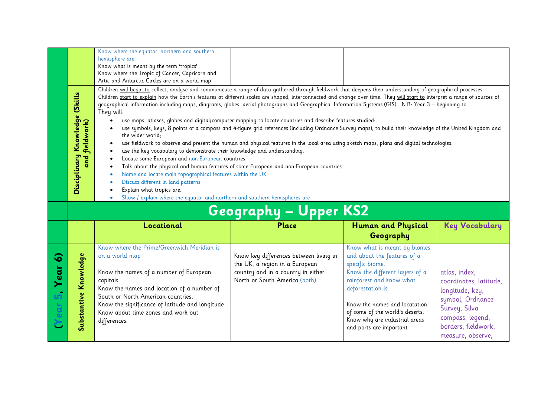|   |                                                                                                                                                                                                                                                                                                                                                                                                                                                                                                                                                                                                                                                                                                                                                                                                                                                                                                                                                                                                                                                                                                                                                                                                                                                                                                                                                                                                                                                                                                                   | Know where the equator, northern and southern<br>hemisphere are.<br>Know what is meant by the term 'tropics'.<br>Know where the Tropic of Cancer, Capricorn and<br>Artic and Antarctic Circles are on a world map |                                                                          |                                                                                |                       |  |  |
|---|-------------------------------------------------------------------------------------------------------------------------------------------------------------------------------------------------------------------------------------------------------------------------------------------------------------------------------------------------------------------------------------------------------------------------------------------------------------------------------------------------------------------------------------------------------------------------------------------------------------------------------------------------------------------------------------------------------------------------------------------------------------------------------------------------------------------------------------------------------------------------------------------------------------------------------------------------------------------------------------------------------------------------------------------------------------------------------------------------------------------------------------------------------------------------------------------------------------------------------------------------------------------------------------------------------------------------------------------------------------------------------------------------------------------------------------------------------------------------------------------------------------------|-------------------------------------------------------------------------------------------------------------------------------------------------------------------------------------------------------------------|--------------------------------------------------------------------------|--------------------------------------------------------------------------------|-----------------------|--|--|
|   | Children will begin to collect, analyse and communicate a range of data gathered through fieldwork that deepens their understanding of geographical processes.<br>Disciplinary Knowledge (Skills<br>Children start to explain how the Earth's features at different scales are shaped, interconnected and change over time. They will start to interpret a range of sources of<br>geographical information including maps, diagrams, globes, aerial photographs and Geographical Information Systems (GIS). N.B: Year 3 - beginning to<br>They will:<br>use maps, atlases, globes and digital/computer mapping to locate countries and describe features studied;<br>and fieldwork)<br>use symbols, keys, 8 points of a compass and 4-figure grid references (including Ordnance Survey maps), to build their knowledge of the United Kingdom and<br>the wider world;<br>use fieldwork to observe and present the human and physical features in the local area using sketch maps, plans and digital technologies;<br>$\bullet$<br>use the key vocabulary to demonstrate their knowledge and understanding.<br>$\bullet$<br>Locate some European and non-European countries.<br>$\bullet$<br>Talk about the physical and human features of some European and non-European countries.<br>Name and locate main topographical features within the UK.<br>Discuss different in land patterns.<br>Explain what tropics are.<br>Show / explain where the equator and northern and southern hemispheres are<br>$\bullet$ |                                                                                                                                                                                                                   |                                                                          |                                                                                |                       |  |  |
|   |                                                                                                                                                                                                                                                                                                                                                                                                                                                                                                                                                                                                                                                                                                                                                                                                                                                                                                                                                                                                                                                                                                                                                                                                                                                                                                                                                                                                                                                                                                                   |                                                                                                                                                                                                                   | <b>Geography - Upper KS2</b>                                             |                                                                                |                       |  |  |
|   |                                                                                                                                                                                                                                                                                                                                                                                                                                                                                                                                                                                                                                                                                                                                                                                                                                                                                                                                                                                                                                                                                                                                                                                                                                                                                                                                                                                                                                                                                                                   | Locational                                                                                                                                                                                                        | <b>Place</b>                                                             | Human and Physical<br>Geography                                                | <b>Key Vocabulary</b> |  |  |
| ၜ | Substantive Knowledge                                                                                                                                                                                                                                                                                                                                                                                                                                                                                                                                                                                                                                                                                                                                                                                                                                                                                                                                                                                                                                                                                                                                                                                                                                                                                                                                                                                                                                                                                             | Know where the Prime/Greenwich Meridian is<br>on a world map<br>Know the names of a number of European                                                                                                            | Know key differences between living in<br>the UK, a region in a European | Know what is meant by biomes<br>and about the features of a<br>specific biome. |                       |  |  |